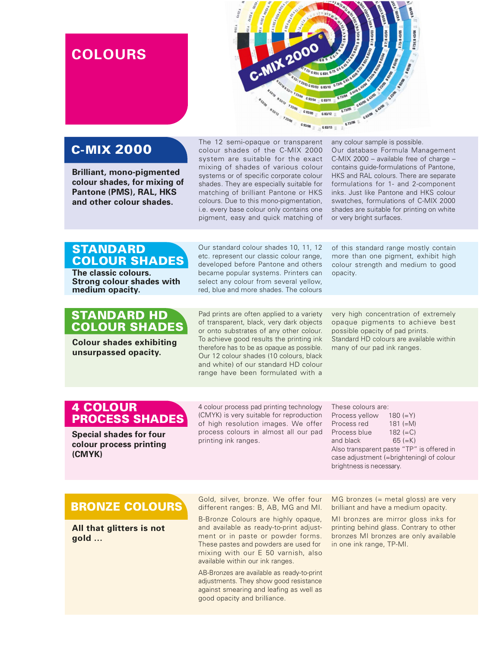# **COLOURS**



## C-MIX 2000

Brilliant, mono-pigmented colour shades, for mixing of Pantone (PMS), RAL, HKS and other colour shades.

The 12 semi-opaque or transparent colour shades of the C-MIX 2000 system are suitable for the exact mixing of shades of various colour systems or of specific corporate colour shades. They are especially suitable for matching of brilliant Pantone or HKS colours. Due to this mono-pigmentation, i.e. every base colour only contains one pigment, easy and quick matching of

any colour sample is possible. Our database Formula Management C-MIX 2000 – available free of charge – contains guide-formulations of Pantone, HKS and RAL colours. There are separate formulations for 1- and 2-component inks. Just like Pantone and HKS colour swatches, formulations of C-MIX 2000 shades are suitable for printing on white or very bright surfaces.

### **STANDARD** COLOUR SHADES

The classic colours. Strong colour shades with medium opacity.

#### STANDARD HD COLOUR SHADES

unsurpassed opacity.

Our standard colour shades 10, 11, 12 etc. represent our classic colour range, developed before Pantone and others became popular systems. Printers can select any colour from several yellow, red, blue and more shades. The colours

of this standard range mostly contain more than one pigment, exhibit high colour strength and medium to good opacity.

Pad prints are often applied to a variety of transparent, black, very dark objects or onto substrates of any other colour. To achieve good results the printing ink Colour shades exhibiting and therefore has to be as opaque as possible. The any of our pad ink ranges.<br>Colour shades exhibiting therefore has to be as opaque as possible. Then y of our pad ink ranges. Our 12 colour shades (10 colours, black and white) of our standard HD colour range have been formulated with a

very high concentration of extremely opaque pigments to achieve best possible opacity of pad prints. Standard HD colours are available within

### 4 COLOUR PROCESS SHADES

Special shades for four colour process printing (CMYK)

4 colour process pad printing technology (CMYK) is very suitable for reproduction of high resolution images. We offer process colours in almost all our pad printing ink ranges.

| These colours are:                       |            |  |
|------------------------------------------|------------|--|
| Process yellow                           | 180 $(=Y)$ |  |
| Process red                              | $181 (=M)$ |  |
| Process blue                             | $182 (=C)$ |  |
| and black                                | $65 (=K)$  |  |
| Also transparent paste "TP" is offered i |            |  |
|                                          |            |  |

offered in case adjustment (=brightening) of colour brightness is necessary.

## BRONZE COLOURS

All that glitters is not gold …

Gold, silver, bronze. We offer four different ranges: B, AB, MG and MI.<br>B-Bronze Colours are highly opaque,

and available as ready-to-print adjustment or in paste or powder forms. These pastes and powders are used for mixing with our E 50 varnish, also available within our ink ranges.

AB-Bronzes are available as ready-to-print adjustments. They show good resistance against smearing and leafing as well as good opacity and brilliance.

MG bronzes (= metal gloss) are very brilliant and have a medium opacity.

MI bronzes are mirror gloss inks for printing behind glass. Contrary to other bronzes MI bronzes are only available in one ink range, TP-MI.